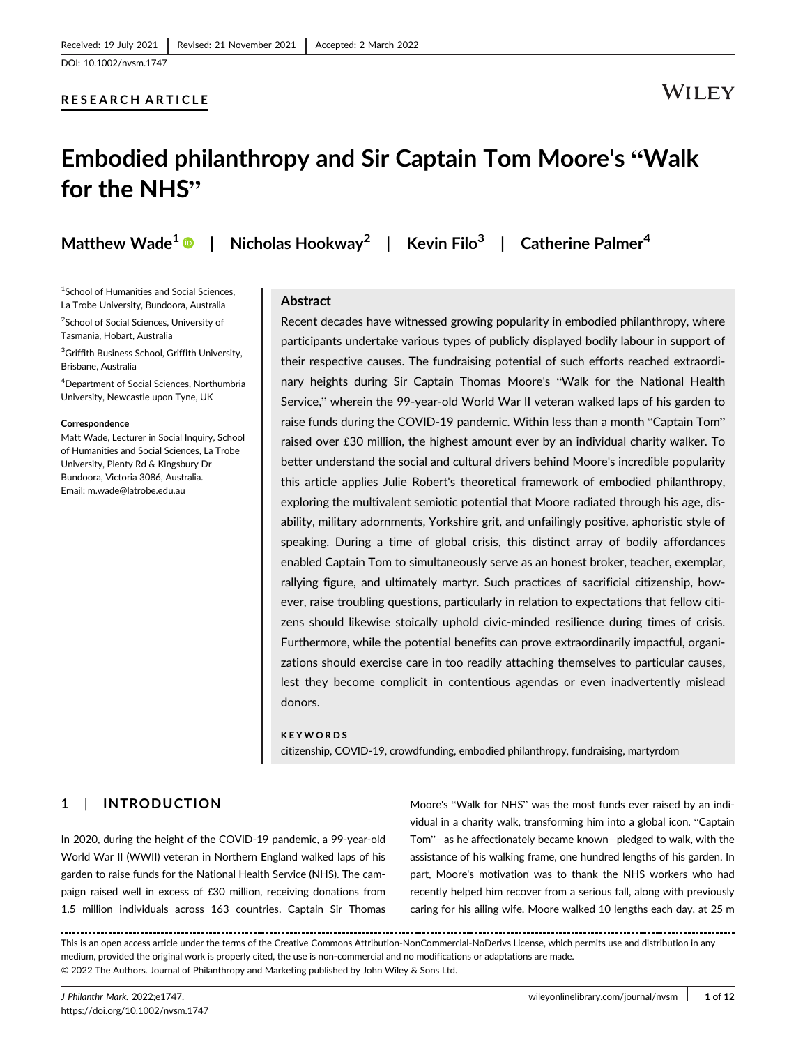### RESEARCH ARTICLE

# WILEY

# Embodied philanthropy and Sir Captain Tom Moore's "Walk for the NHS"

Matthew Wade<sup>1</sup> | Nicholas Hookway<sup>2</sup> | Kevin Filo<sup>3</sup> | Catherine Palmer<sup>4</sup>

<sup>1</sup>School of Humanities and Social Sciences, La Trobe University, Bundoora, Australia <sup>2</sup>School of Social Sciences, University of

Tasmania, Hobart, Australia 3 Griffith Business School, Griffith University, Brisbane, Australia

4 Department of Social Sciences, Northumbria University, Newcastle upon Tyne, UK

#### Correspondence

Matt Wade, Lecturer in Social Inquiry, School of Humanities and Social Sciences, La Trobe University, Plenty Rd & Kingsbury Dr Bundoora, Victoria 3086, Australia. Email: [m.wade@latrobe.edu.au](mailto:m.wade@latrobe.edu.au)

### Abstract

Recent decades have witnessed growing popularity in embodied philanthropy, where participants undertake various types of publicly displayed bodily labour in support of their respective causes. The fundraising potential of such efforts reached extraordinary heights during Sir Captain Thomas Moore's "Walk for the National Health Service," wherein the 99-year-old World War II veteran walked laps of his garden to raise funds during the COVID-19 pandemic. Within less than a month "Captain Tom" raised over £30 million, the highest amount ever by an individual charity walker. To better understand the social and cultural drivers behind Moore's incredible popularity this article applies Julie Robert's theoretical framework of embodied philanthropy, exploring the multivalent semiotic potential that Moore radiated through his age, disability, military adornments, Yorkshire grit, and unfailingly positive, aphoristic style of speaking. During a time of global crisis, this distinct array of bodily affordances enabled Captain Tom to simultaneously serve as an honest broker, teacher, exemplar, rallying figure, and ultimately martyr. Such practices of sacrificial citizenship, however, raise troubling questions, particularly in relation to expectations that fellow citizens should likewise stoically uphold civic-minded resilience during times of crisis. Furthermore, while the potential benefits can prove extraordinarily impactful, organizations should exercise care in too readily attaching themselves to particular causes, lest they become complicit in contentious agendas or even inadvertently mislead donors.

#### **KEYWORDS**

citizenship, COVID-19, crowdfunding, embodied philanthropy, fundraising, martyrdom

### 1 | INTRODUCTION

In 2020, during the height of the COVID-19 pandemic, a 99-year-old World War II (WWII) veteran in Northern England walked laps of his garden to raise funds for the National Health Service (NHS). The campaign raised well in excess of £30 million, receiving donations from 1.5 million individuals across 163 countries. Captain Sir Thomas

Moore's "Walk for NHS" was the most funds ever raised by an individual in a charity walk, transforming him into a global icon. "Captain Tom"—as he affectionately became known—pledged to walk, with the assistance of his walking frame, one hundred lengths of his garden. In part, Moore's motivation was to thank the NHS workers who had recently helped him recover from a serious fall, along with previously caring for his ailing wife. Moore walked 10 lengths each day, at 25 m

This is an open access article under the terms of the [Creative Commons Attribution-NonCommercial-NoDerivs](http://creativecommons.org/licenses/by-nc-nd/4.0/) License, which permits use and distribution in any medium, provided the original work is properly cited, the use is non-commercial and no modifications or adaptations are made. © 2022 The Authors. Journal of Philanthropy and Marketing published by John Wiley & Sons Ltd.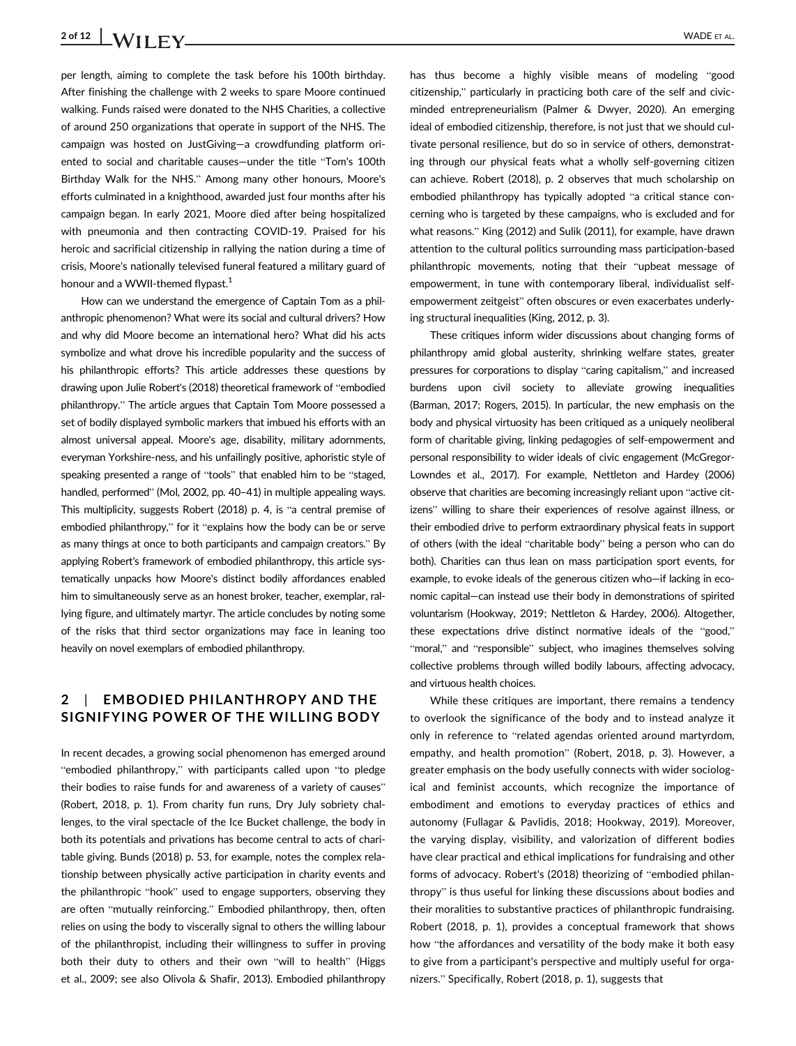# 2 of 12  $\big|$  **VADE** ET AL.

per length, aiming to complete the task before his 100th birthday. After finishing the challenge with 2 weeks to spare Moore continued walking. Funds raised were donated to the NHS Charities, a collective of around 250 organizations that operate in support of the NHS. The campaign was hosted on JustGiving—a crowdfunding platform oriented to social and charitable causes—under the title "Tom's 100th Birthday Walk for the NHS." Among many other honours, Moore's efforts culminated in a knighthood, awarded just four months after his campaign began. In early 2021, Moore died after being hospitalized with pneumonia and then contracting COVID-19. Praised for his heroic and sacrificial citizenship in rallying the nation during a time of crisis, Moore's nationally televised funeral featured a military guard of honour and a WWII-themed flypast.<sup>1</sup>

How can we understand the emergence of Captain Tom as a philanthropic phenomenon? What were its social and cultural drivers? How and why did Moore become an international hero? What did his acts symbolize and what drove his incredible popularity and the success of his philanthropic efforts? This article addresses these questions by drawing upon Julie Robert's (2018) theoretical framework of "embodied philanthropy." The article argues that Captain Tom Moore possessed a set of bodily displayed symbolic markers that imbued his efforts with an almost universal appeal. Moore's age, disability, military adornments, everyman Yorkshire-ness, and his unfailingly positive, aphoristic style of speaking presented a range of "tools" that enabled him to be "staged, handled, performed" (Mol, 2002, pp. 40-41) in multiple appealing ways. This multiplicity, suggests Robert (2018) p. 4, is "a central premise of embodied philanthropy," for it "explains how the body can be or serve as many things at once to both participants and campaign creators." By applying Robert's framework of embodied philanthropy, this article systematically unpacks how Moore's distinct bodily affordances enabled him to simultaneously serve as an honest broker, teacher, exemplar, rallying figure, and ultimately martyr. The article concludes by noting some of the risks that third sector organizations may face in leaning too heavily on novel exemplars of embodied philanthropy.

## 2 | EMBODIED PHILANTHROPY AND THE SIGNIFYING POWER OF THE WILLING BODY

In recent decades, a growing social phenomenon has emerged around "embodied philanthropy," with participants called upon "to pledge their bodies to raise funds for and awareness of a variety of causes" (Robert, 2018, p. 1). From charity fun runs, Dry July sobriety challenges, to the viral spectacle of the Ice Bucket challenge, the body in both its potentials and privations has become central to acts of charitable giving. Bunds (2018) p. 53, for example, notes the complex relationship between physically active participation in charity events and the philanthropic "hook" used to engage supporters, observing they are often "mutually reinforcing." Embodied philanthropy, then, often relies on using the body to viscerally signal to others the willing labour of the philanthropist, including their willingness to suffer in proving both their duty to others and their own "will to health" (Higgs et al., 2009; see also Olivola & Shafir, 2013). Embodied philanthropy

has thus become a highly visible means of modeling "good citizenship," particularly in practicing both care of the self and civicminded entrepreneurialism (Palmer & Dwyer, 2020). An emerging ideal of embodied citizenship, therefore, is not just that we should cultivate personal resilience, but do so in service of others, demonstrating through our physical feats what a wholly self-governing citizen can achieve. Robert (2018), p. 2 observes that much scholarship on embodied philanthropy has typically adopted "a critical stance concerning who is targeted by these campaigns, who is excluded and for what reasons." King (2012) and Sulik (2011), for example, have drawn attention to the cultural politics surrounding mass participation-based philanthropic movements, noting that their "upbeat message of empowerment, in tune with contemporary liberal, individualist selfempowerment zeitgeist" often obscures or even exacerbates underlying structural inequalities (King, 2012, p. 3).

These critiques inform wider discussions about changing forms of philanthropy amid global austerity, shrinking welfare states, greater pressures for corporations to display "caring capitalism," and increased burdens upon civil society to alleviate growing inequalities (Barman, 2017; Rogers, 2015). In particular, the new emphasis on the body and physical virtuosity has been critiqued as a uniquely neoliberal form of charitable giving, linking pedagogies of self-empowerment and personal responsibility to wider ideals of civic engagement (McGregor-Lowndes et al., 2017). For example, Nettleton and Hardey (2006) observe that charities are becoming increasingly reliant upon "active citizens" willing to share their experiences of resolve against illness, or their embodied drive to perform extraordinary physical feats in support of others (with the ideal "charitable body" being a person who can do both). Charities can thus lean on mass participation sport events, for example, to evoke ideals of the generous citizen who—if lacking in economic capital—can instead use their body in demonstrations of spirited voluntarism (Hookway, 2019; Nettleton & Hardey, 2006). Altogether, these expectations drive distinct normative ideals of the "good," "moral," and "responsible" subject, who imagines themselves solving collective problems through willed bodily labours, affecting advocacy, and virtuous health choices.

While these critiques are important, there remains a tendency to overlook the significance of the body and to instead analyze it only in reference to "related agendas oriented around martyrdom, empathy, and health promotion" (Robert, 2018, p. 3). However, a greater emphasis on the body usefully connects with wider sociological and feminist accounts, which recognize the importance of embodiment and emotions to everyday practices of ethics and autonomy (Fullagar & Pavlidis, 2018; Hookway, 2019). Moreover, the varying display, visibility, and valorization of different bodies have clear practical and ethical implications for fundraising and other forms of advocacy. Robert's (2018) theorizing of "embodied philanthropy" is thus useful for linking these discussions about bodies and their moralities to substantive practices of philanthropic fundraising. Robert (2018, p. 1), provides a conceptual framework that shows how "the affordances and versatility of the body make it both easy to give from a participant's perspective and multiply useful for organizers." Specifically, Robert (2018, p. 1), suggests that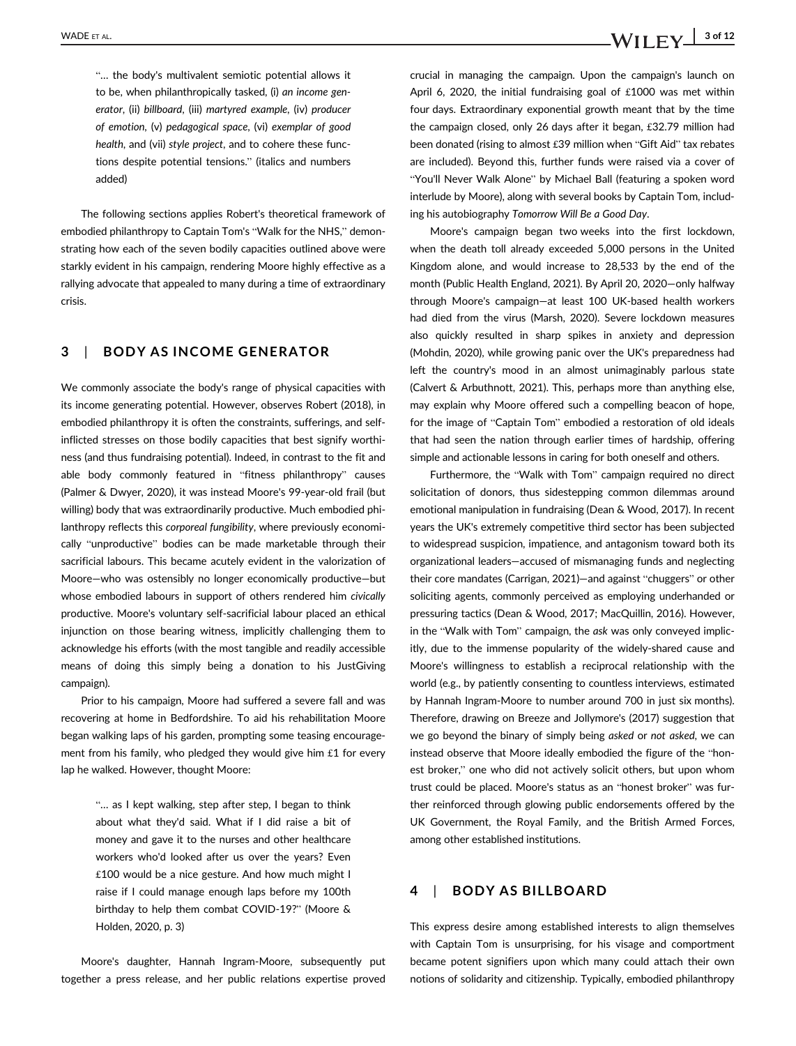WADE ET AL.  $\blacksquare$  3 of 12

"… the body's multivalent semiotic potential allows it to be, when philanthropically tasked, (i) an income generator, (ii) billboard, (iii) martyred example, (iv) producer of emotion, (v) pedagogical space, (vi) exemplar of good health, and (vii) style project, and to cohere these functions despite potential tensions." (italics and numbers added)

The following sections applies Robert's theoretical framework of embodied philanthropy to Captain Tom's "Walk for the NHS," demonstrating how each of the seven bodily capacities outlined above were starkly evident in his campaign, rendering Moore highly effective as a rallying advocate that appealed to many during a time of extraordinary crisis.

### 3 | BODY AS INCOME GENERATOR

We commonly associate the body's range of physical capacities with its income generating potential. However, observes Robert (2018), in embodied philanthropy it is often the constraints, sufferings, and selfinflicted stresses on those bodily capacities that best signify worthiness (and thus fundraising potential). Indeed, in contrast to the fit and able body commonly featured in "fitness philanthropy" causes (Palmer & Dwyer, 2020), it was instead Moore's 99-year-old frail (but willing) body that was extraordinarily productive. Much embodied philanthropy reflects this corporeal fungibility, where previously economically "unproductive" bodies can be made marketable through their sacrificial labours. This became acutely evident in the valorization of Moore—who was ostensibly no longer economically productive—but whose embodied labours in support of others rendered him civically productive. Moore's voluntary self-sacrificial labour placed an ethical injunction on those bearing witness, implicitly challenging them to acknowledge his efforts (with the most tangible and readily accessible means of doing this simply being a donation to his JustGiving campaign).

Prior to his campaign, Moore had suffered a severe fall and was recovering at home in Bedfordshire. To aid his rehabilitation Moore began walking laps of his garden, prompting some teasing encouragement from his family, who pledged they would give him £1 for every lap he walked. However, thought Moore:

> "… as I kept walking, step after step, I began to think about what they'd said. What if I did raise a bit of money and gave it to the nurses and other healthcare workers who'd looked after us over the years? Even £100 would be a nice gesture. And how much might I raise if I could manage enough laps before my 100th birthday to help them combat COVID-19?" (Moore & Holden, 2020, p. 3)

Moore's daughter, Hannah Ingram-Moore, subsequently put together a press release, and her public relations expertise proved

crucial in managing the campaign. Upon the campaign's launch on April 6, 2020, the initial fundraising goal of £1000 was met within four days. Extraordinary exponential growth meant that by the time the campaign closed, only 26 days after it began, £32.79 million had been donated (rising to almost £39 million when "Gift Aid" tax rebates are included). Beyond this, further funds were raised via a cover of "You'll Never Walk Alone" by Michael Ball (featuring a spoken word interlude by Moore), along with several books by Captain Tom, including his autobiography Tomorrow Will Be a Good Day.

Moore's campaign began two weeks into the first lockdown, when the death toll already exceeded 5,000 persons in the United Kingdom alone, and would increase to 28,533 by the end of the month (Public Health England, 2021). By April 20, 2020—only halfway through Moore's campaign—at least 100 UK-based health workers had died from the virus (Marsh, 2020). Severe lockdown measures also quickly resulted in sharp spikes in anxiety and depression (Mohdin, 2020), while growing panic over the UK's preparedness had left the country's mood in an almost unimaginably parlous state (Calvert & Arbuthnott, 2021). This, perhaps more than anything else, may explain why Moore offered such a compelling beacon of hope, for the image of "Captain Tom" embodied a restoration of old ideals that had seen the nation through earlier times of hardship, offering simple and actionable lessons in caring for both oneself and others.

Furthermore, the "Walk with Tom" campaign required no direct solicitation of donors, thus sidestepping common dilemmas around emotional manipulation in fundraising (Dean & Wood, 2017). In recent years the UK's extremely competitive third sector has been subjected to widespread suspicion, impatience, and antagonism toward both its organizational leaders—accused of mismanaging funds and neglecting their core mandates (Carrigan, 2021)—and against "chuggers" or other soliciting agents, commonly perceived as employing underhanded or pressuring tactics (Dean & Wood, 2017; MacQuillin, 2016). However, in the "Walk with Tom" campaign, the ask was only conveyed implicitly, due to the immense popularity of the widely-shared cause and Moore's willingness to establish a reciprocal relationship with the world (e.g., by patiently consenting to countless interviews, estimated by Hannah Ingram-Moore to number around 700 in just six months). Therefore, drawing on Breeze and Jollymore's (2017) suggestion that we go beyond the binary of simply being asked or not asked, we can instead observe that Moore ideally embodied the figure of the "honest broker," one who did not actively solicit others, but upon whom trust could be placed. Moore's status as an "honest broker" was further reinforced through glowing public endorsements offered by the UK Government, the Royal Family, and the British Armed Forces, among other established institutions.

### 4 | BODY AS BILLBOARD

This express desire among established interests to align themselves with Captain Tom is unsurprising, for his visage and comportment became potent signifiers upon which many could attach their own notions of solidarity and citizenship. Typically, embodied philanthropy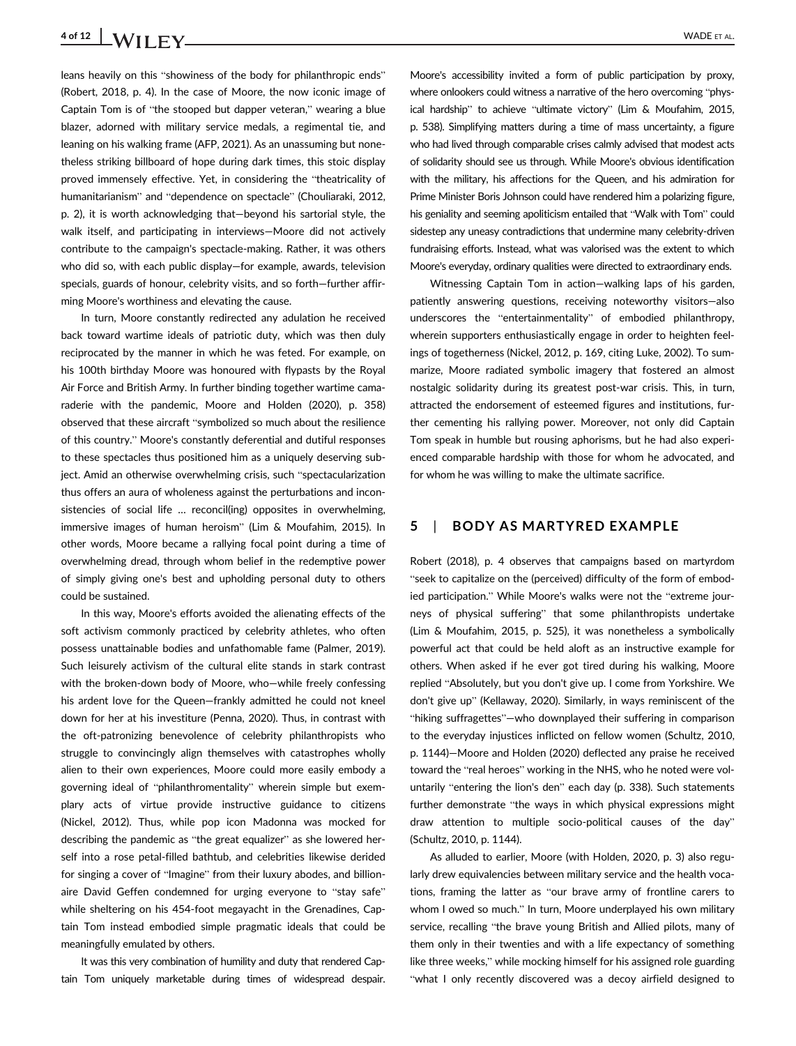# 4 of 12  $\big|$  **VADE** ET AL.

leans heavily on this "showiness of the body for philanthropic ends" (Robert, 2018, p. 4). In the case of Moore, the now iconic image of Captain Tom is of "the stooped but dapper veteran," wearing a blue blazer, adorned with military service medals, a regimental tie, and leaning on his walking frame (AFP, 2021). As an unassuming but nonetheless striking billboard of hope during dark times, this stoic display proved immensely effective. Yet, in considering the "theatricality of humanitarianism" and "dependence on spectacle" (Chouliaraki, 2012, p. 2), it is worth acknowledging that—beyond his sartorial style, the walk itself, and participating in interviews—Moore did not actively contribute to the campaign's spectacle-making. Rather, it was others who did so, with each public display—for example, awards, television specials, guards of honour, celebrity visits, and so forth—further affirming Moore's worthiness and elevating the cause.

In turn, Moore constantly redirected any adulation he received back toward wartime ideals of patriotic duty, which was then duly reciprocated by the manner in which he was feted. For example, on his 100th birthday Moore was honoured with flypasts by the Royal Air Force and British Army. In further binding together wartime camaraderie with the pandemic, Moore and Holden (2020), p. 358) observed that these aircraft "symbolized so much about the resilience of this country." Moore's constantly deferential and dutiful responses to these spectacles thus positioned him as a uniquely deserving subject. Amid an otherwise overwhelming crisis, such "spectacularization thus offers an aura of wholeness against the perturbations and inconsistencies of social life ... reconcil(ing) opposites in overwhelming, immersive images of human heroism" (Lim & Moufahim, 2015). In other words, Moore became a rallying focal point during a time of overwhelming dread, through whom belief in the redemptive power of simply giving one's best and upholding personal duty to others could be sustained.

In this way, Moore's efforts avoided the alienating effects of the soft activism commonly practiced by celebrity athletes, who often possess unattainable bodies and unfathomable fame (Palmer, 2019). Such leisurely activism of the cultural elite stands in stark contrast with the broken-down body of Moore, who—while freely confessing his ardent love for the Queen—frankly admitted he could not kneel down for her at his investiture (Penna, 2020). Thus, in contrast with the oft-patronizing benevolence of celebrity philanthropists who struggle to convincingly align themselves with catastrophes wholly alien to their own experiences, Moore could more easily embody a governing ideal of "philanthromentality" wherein simple but exemplary acts of virtue provide instructive guidance to citizens (Nickel, 2012). Thus, while pop icon Madonna was mocked for describing the pandemic as "the great equalizer" as she lowered herself into a rose petal-filled bathtub, and celebrities likewise derided for singing a cover of "Imagine" from their luxury abodes, and billionaire David Geffen condemned for urging everyone to "stay safe" while sheltering on his 454-foot megayacht in the Grenadines, Captain Tom instead embodied simple pragmatic ideals that could be meaningfully emulated by others.

It was this very combination of humility and duty that rendered Captain Tom uniquely marketable during times of widespread despair.

Moore's accessibility invited a form of public participation by proxy, where onlookers could witness a narrative of the hero overcoming "physical hardship" to achieve "ultimate victory" (Lim & Moufahim, 2015, p. 538). Simplifying matters during a time of mass uncertainty, a figure who had lived through comparable crises calmly advised that modest acts of solidarity should see us through. While Moore's obvious identification with the military, his affections for the Queen, and his admiration for Prime Minister Boris Johnson could have rendered him a polarizing figure, his geniality and seeming apoliticism entailed that "Walk with Tom" could sidestep any uneasy contradictions that undermine many celebrity-driven fundraising efforts. Instead, what was valorised was the extent to which Moore's everyday, ordinary qualities were directed to extraordinary ends.

Witnessing Captain Tom in action—walking laps of his garden, patiently answering questions, receiving noteworthy visitors—also underscores the "entertainmentality" of embodied philanthropy, wherein supporters enthusiastically engage in order to heighten feelings of togetherness (Nickel, 2012, p. 169, citing Luke, 2002). To summarize, Moore radiated symbolic imagery that fostered an almost nostalgic solidarity during its greatest post-war crisis. This, in turn, attracted the endorsement of esteemed figures and institutions, further cementing his rallying power. Moreover, not only did Captain Tom speak in humble but rousing aphorisms, but he had also experienced comparable hardship with those for whom he advocated, and for whom he was willing to make the ultimate sacrifice.

### 5 | BODY AS MARTYRED EXAMPLE

Robert (2018), p. 4 observes that campaigns based on martyrdom "seek to capitalize on the (perceived) difficulty of the form of embodied participation." While Moore's walks were not the "extreme journeys of physical suffering" that some philanthropists undertake (Lim & Moufahim, 2015, p. 525), it was nonetheless a symbolically powerful act that could be held aloft as an instructive example for others. When asked if he ever got tired during his walking, Moore replied "Absolutely, but you don't give up. I come from Yorkshire. We don't give up" (Kellaway, 2020). Similarly, in ways reminiscent of the "hiking suffragettes"—who downplayed their suffering in comparison to the everyday injustices inflicted on fellow women (Schultz, 2010, p. 1144)—Moore and Holden (2020) deflected any praise he received toward the "real heroes" working in the NHS, who he noted were voluntarily "entering the lion's den" each day (p. 338). Such statements further demonstrate "the ways in which physical expressions might draw attention to multiple socio-political causes of the day" (Schultz, 2010, p. 1144).

As alluded to earlier, Moore (with Holden, 2020, p. 3) also regularly drew equivalencies between military service and the health vocations, framing the latter as "our brave army of frontline carers to whom I owed so much." In turn, Moore underplayed his own military service, recalling "the brave young British and Allied pilots, many of them only in their twenties and with a life expectancy of something like three weeks," while mocking himself for his assigned role guarding "what I only recently discovered was a decoy airfield designed to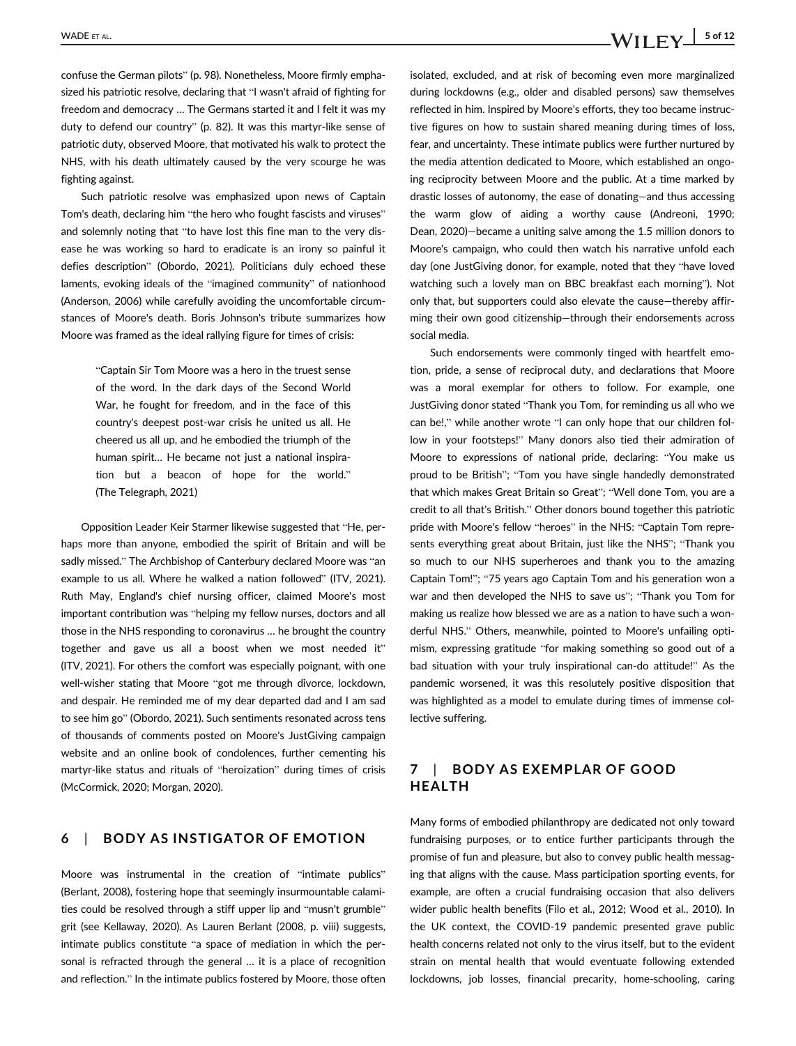confuse the German pilots" (p. 98). Nonetheless, Moore firmly emphasized his patriotic resolve, declaring that "I wasn't afraid of fighting for freedom and democracy … The Germans started it and I felt it was my duty to defend our country" (p. 82). It was this martyr-like sense of patriotic duty, observed Moore, that motivated his walk to protect the NHS, with his death ultimately caused by the very scourge he was fighting against.

Such patriotic resolve was emphasized upon news of Captain Tom's death, declaring him "the hero who fought fascists and viruses" and solemnly noting that "to have lost this fine man to the very disease he was working so hard to eradicate is an irony so painful it defies description" (Obordo, 2021). Politicians duly echoed these laments, evoking ideals of the "imagined community" of nationhood (Anderson, 2006) while carefully avoiding the uncomfortable circumstances of Moore's death. Boris Johnson's tribute summarizes how Moore was framed as the ideal rallying figure for times of crisis:

> "Captain Sir Tom Moore was a hero in the truest sense of the word. In the dark days of the Second World War, he fought for freedom, and in the face of this country's deepest post-war crisis he united us all. He cheered us all up, and he embodied the triumph of the human spirit… He became not just a national inspiration but a beacon of hope for the world." (The Telegraph, 2021)

Opposition Leader Keir Starmer likewise suggested that "He, perhaps more than anyone, embodied the spirit of Britain and will be sadly missed." The Archbishop of Canterbury declared Moore was "an example to us all. Where he walked a nation followed" (ITV, 2021). Ruth May, England's chief nursing officer, claimed Moore's most important contribution was "helping my fellow nurses, doctors and all those in the NHS responding to coronavirus … he brought the country together and gave us all a boost when we most needed it" (ITV, 2021). For others the comfort was especially poignant, with one well-wisher stating that Moore "got me through divorce, lockdown, and despair. He reminded me of my dear departed dad and I am sad to see him go" (Obordo, 2021). Such sentiments resonated across tens of thousands of comments posted on Moore's JustGiving campaign website and an online book of condolences, further cementing his martyr-like status and rituals of "heroization" during times of crisis (McCormick, 2020; Morgan, 2020).

## 6 | BODY AS INSTIGATOR OF EMOTION

Moore was instrumental in the creation of "intimate publics" (Berlant, 2008), fostering hope that seemingly insurmountable calamities could be resolved through a stiff upper lip and "musn't grumble" grit (see Kellaway, 2020). As Lauren Berlant (2008, p. viii) suggests, intimate publics constitute "a space of mediation in which the personal is refracted through the general … it is a place of recognition and reflection." In the intimate publics fostered by Moore, those often isolated, excluded, and at risk of becoming even more marginalized during lockdowns (e.g., older and disabled persons) saw themselves reflected in him. Inspired by Moore's efforts, they too became instructive figures on how to sustain shared meaning during times of loss, fear, and uncertainty. These intimate publics were further nurtured by the media attention dedicated to Moore, which established an ongoing reciprocity between Moore and the public. At a time marked by drastic losses of autonomy, the ease of donating—and thus accessing the warm glow of aiding a worthy cause (Andreoni, 1990; Dean, 2020)—became a uniting salve among the 1.5 million donors to Moore's campaign, who could then watch his narrative unfold each day (one JustGiving donor, for example, noted that they "have loved watching such a lovely man on BBC breakfast each morning"). Not only that, but supporters could also elevate the cause—thereby affirming their own good citizenship—through their endorsements across social media.

Such endorsements were commonly tinged with heartfelt emotion, pride, a sense of reciprocal duty, and declarations that Moore was a moral exemplar for others to follow. For example, one JustGiving donor stated "Thank you Tom, for reminding us all who we can be!," while another wrote "I can only hope that our children follow in your footsteps!" Many donors also tied their admiration of Moore to expressions of national pride, declaring: "You make us proud to be British"; "Tom you have single handedly demonstrated that which makes Great Britain so Great"; "Well done Tom, you are a credit to all that's British." Other donors bound together this patriotic pride with Moore's fellow "heroes" in the NHS: "Captain Tom represents everything great about Britain, just like the NHS"; "Thank you so much to our NHS superheroes and thank you to the amazing Captain Tom!"; "75 years ago Captain Tom and his generation won a war and then developed the NHS to save us"; "Thank you Tom for making us realize how blessed we are as a nation to have such a wonderful NHS." Others, meanwhile, pointed to Moore's unfailing optimism, expressing gratitude "for making something so good out of a bad situation with your truly inspirational can-do attitude!" As the pandemic worsened, it was this resolutely positive disposition that was highlighted as a model to emulate during times of immense collective suffering.

### 7 | BODY AS EXEMPLAR OF GOOD HEALTH

Many forms of embodied philanthropy are dedicated not only toward fundraising purposes, or to entice further participants through the promise of fun and pleasure, but also to convey public health messaging that aligns with the cause. Mass participation sporting events, for example, are often a crucial fundraising occasion that also delivers wider public health benefits (Filo et al., 2012; Wood et al., 2010). In the UK context, the COVID-19 pandemic presented grave public health concerns related not only to the virus itself, but to the evident strain on mental health that would eventuate following extended lockdowns, job losses, financial precarity, home-schooling, caring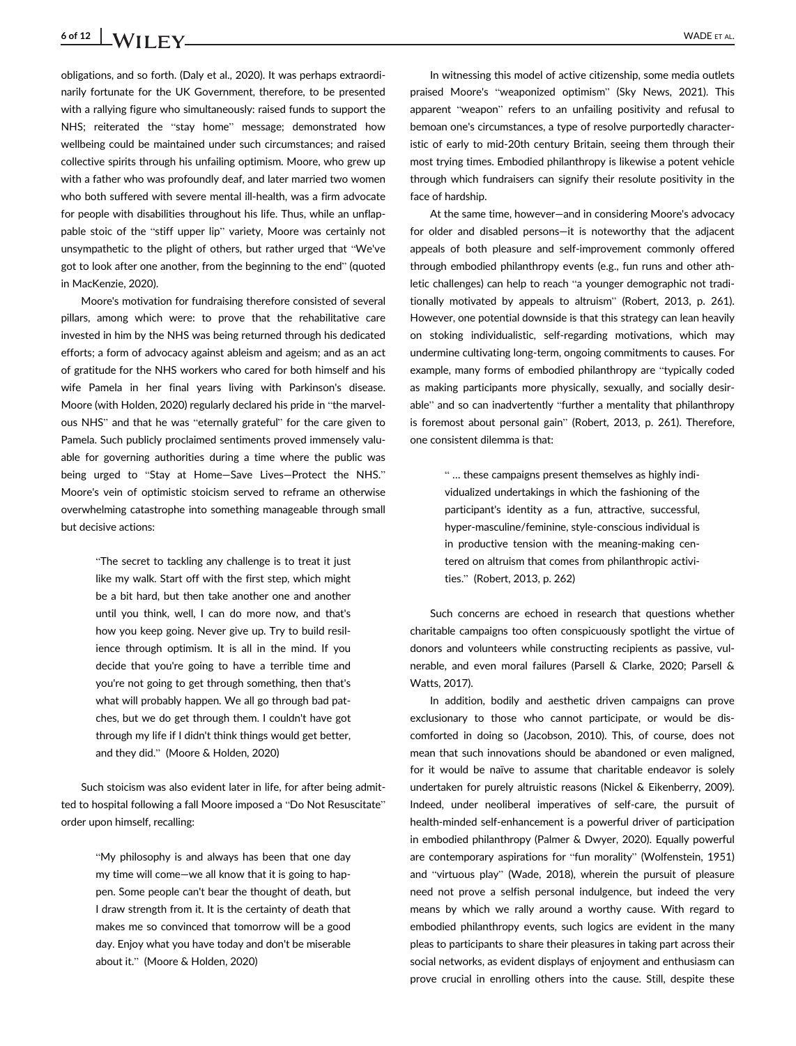# 6 of 12 | **WADE ET AL.** WADE ET AL.

obligations, and so forth. (Daly et al., 2020). It was perhaps extraordinarily fortunate for the UK Government, therefore, to be presented with a rallying figure who simultaneously: raised funds to support the NHS; reiterated the "stay home" message; demonstrated how wellbeing could be maintained under such circumstances; and raised collective spirits through his unfailing optimism. Moore, who grew up with a father who was profoundly deaf, and later married two women who both suffered with severe mental ill-health, was a firm advocate for people with disabilities throughout his life. Thus, while an unflappable stoic of the "stiff upper lip" variety, Moore was certainly not unsympathetic to the plight of others, but rather urged that "We've got to look after one another, from the beginning to the end" (quoted in MacKenzie, 2020).

Moore's motivation for fundraising therefore consisted of several pillars, among which were: to prove that the rehabilitative care invested in him by the NHS was being returned through his dedicated efforts; a form of advocacy against ableism and ageism; and as an act of gratitude for the NHS workers who cared for both himself and his wife Pamela in her final years living with Parkinson's disease. Moore (with Holden, 2020) regularly declared his pride in "the marvelous NHS" and that he was "eternally grateful" for the care given to Pamela. Such publicly proclaimed sentiments proved immensely valuable for governing authorities during a time where the public was being urged to "Stay at Home—Save Lives—Protect the NHS." Moore's vein of optimistic stoicism served to reframe an otherwise overwhelming catastrophe into something manageable through small but decisive actions:

> "The secret to tackling any challenge is to treat it just like my walk. Start off with the first step, which might be a bit hard, but then take another one and another until you think, well, I can do more now, and that's how you keep going. Never give up. Try to build resilience through optimism. It is all in the mind. If you decide that you're going to have a terrible time and you're not going to get through something, then that's what will probably happen. We all go through bad patches, but we do get through them. I couldn't have got through my life if I didn't think things would get better, and they did." (Moore & Holden, 2020)

Such stoicism was also evident later in life, for after being admitted to hospital following a fall Moore imposed a "Do Not Resuscitate" order upon himself, recalling:

> "My philosophy is and always has been that one day my time will come—we all know that it is going to happen. Some people can't bear the thought of death, but I draw strength from it. It is the certainty of death that makes me so convinced that tomorrow will be a good day. Enjoy what you have today and don't be miserable about it." (Moore & Holden, 2020)

In witnessing this model of active citizenship, some media outlets praised Moore's "weaponized optimism" (Sky News, 2021). This apparent "weapon" refers to an unfailing positivity and refusal to bemoan one's circumstances, a type of resolve purportedly characteristic of early to mid-20th century Britain, seeing them through their most trying times. Embodied philanthropy is likewise a potent vehicle through which fundraisers can signify their resolute positivity in the face of hardship.

At the same time, however—and in considering Moore's advocacy for older and disabled persons—it is noteworthy that the adjacent appeals of both pleasure and self-improvement commonly offered through embodied philanthropy events (e.g., fun runs and other athletic challenges) can help to reach "a younger demographic not traditionally motivated by appeals to altruism" (Robert, 2013, p. 261). However, one potential downside is that this strategy can lean heavily on stoking individualistic, self-regarding motivations, which may undermine cultivating long-term, ongoing commitments to causes. For example, many forms of embodied philanthropy are "typically coded as making participants more physically, sexually, and socially desirable" and so can inadvertently "further a mentality that philanthropy is foremost about personal gain" (Robert, 2013, p. 261). Therefore, one consistent dilemma is that:

> " … these campaigns present themselves as highly individualized undertakings in which the fashioning of the participant's identity as a fun, attractive, successful, hyper-masculine/feminine, style-conscious individual is in productive tension with the meaning-making centered on altruism that comes from philanthropic activities." (Robert, 2013, p. 262)

Such concerns are echoed in research that questions whether charitable campaigns too often conspicuously spotlight the virtue of donors and volunteers while constructing recipients as passive, vulnerable, and even moral failures (Parsell & Clarke, 2020; Parsell & Watts, 2017).

In addition, bodily and aesthetic driven campaigns can prove exclusionary to those who cannot participate, or would be discomforted in doing so (Jacobson, 2010). This, of course, does not mean that such innovations should be abandoned or even maligned, for it would be naïve to assume that charitable endeavor is solely undertaken for purely altruistic reasons (Nickel & Eikenberry, 2009). Indeed, under neoliberal imperatives of self-care, the pursuit of health-minded self-enhancement is a powerful driver of participation in embodied philanthropy (Palmer & Dwyer, 2020). Equally powerful are contemporary aspirations for "fun morality" (Wolfenstein, 1951) and "virtuous play" (Wade, 2018), wherein the pursuit of pleasure need not prove a selfish personal indulgence, but indeed the very means by which we rally around a worthy cause. With regard to embodied philanthropy events, such logics are evident in the many pleas to participants to share their pleasures in taking part across their social networks, as evident displays of enjoyment and enthusiasm can prove crucial in enrolling others into the cause. Still, despite these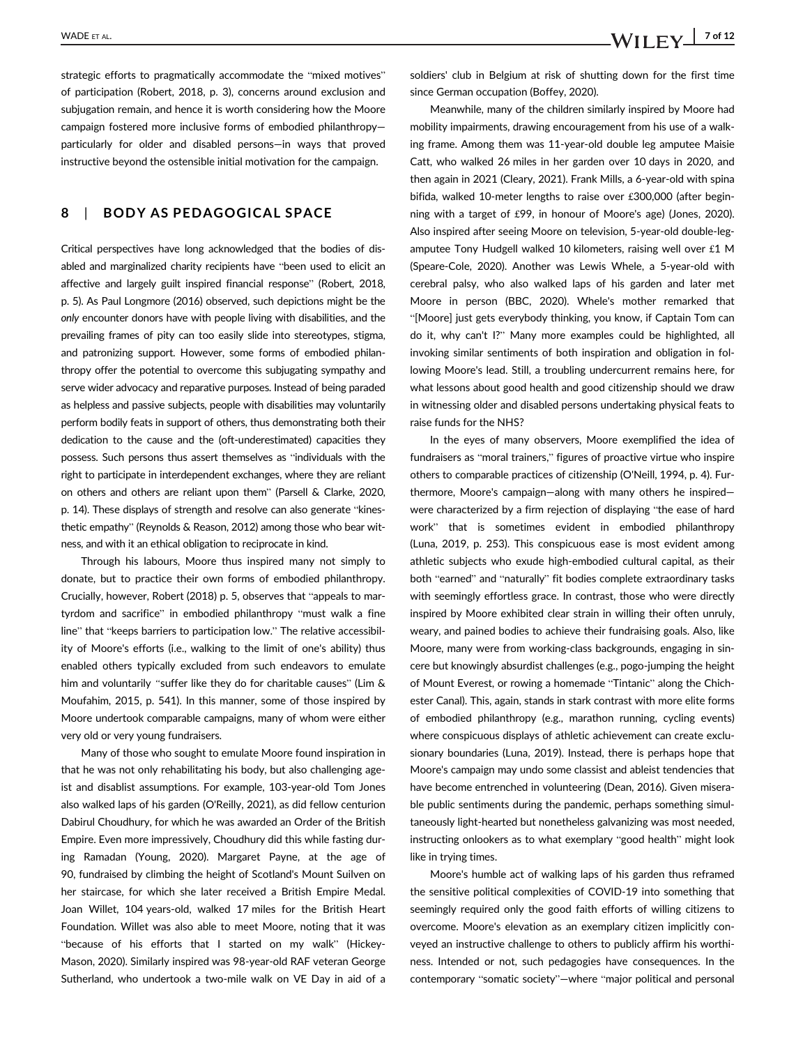strategic efforts to pragmatically accommodate the "mixed motives" of participation (Robert, 2018, p. 3), concerns around exclusion and subjugation remain, and hence it is worth considering how the Moore campaign fostered more inclusive forms of embodied philanthropy particularly for older and disabled persons—in ways that proved instructive beyond the ostensible initial motivation for the campaign.

### 8 | BODY AS PEDAGOGICAL SPACE

Critical perspectives have long acknowledged that the bodies of disabled and marginalized charity recipients have "been used to elicit an affective and largely guilt inspired financial response" (Robert, 2018, p. 5). As Paul Longmore (2016) observed, such depictions might be the only encounter donors have with people living with disabilities, and the prevailing frames of pity can too easily slide into stereotypes, stigma, and patronizing support. However, some forms of embodied philanthropy offer the potential to overcome this subjugating sympathy and serve wider advocacy and reparative purposes. Instead of being paraded as helpless and passive subjects, people with disabilities may voluntarily perform bodily feats in support of others, thus demonstrating both their dedication to the cause and the (oft-underestimated) capacities they possess. Such persons thus assert themselves as "individuals with the right to participate in interdependent exchanges, where they are reliant on others and others are reliant upon them" (Parsell & Clarke, 2020, p. 14). These displays of strength and resolve can also generate "kinesthetic empathy" (Reynolds & Reason, 2012) among those who bear witness, and with it an ethical obligation to reciprocate in kind.

Through his labours, Moore thus inspired many not simply to donate, but to practice their own forms of embodied philanthropy. Crucially, however, Robert (2018) p. 5, observes that "appeals to martyrdom and sacrifice" in embodied philanthropy "must walk a fine line" that "keeps barriers to participation low." The relative accessibility of Moore's efforts (i.e., walking to the limit of one's ability) thus enabled others typically excluded from such endeavors to emulate him and voluntarily "suffer like they do for charitable causes" (Lim & Moufahim, 2015, p. 541). In this manner, some of those inspired by Moore undertook comparable campaigns, many of whom were either very old or very young fundraisers.

Many of those who sought to emulate Moore found inspiration in that he was not only rehabilitating his body, but also challenging ageist and disablist assumptions. For example, 103-year-old Tom Jones also walked laps of his garden (O'Reilly, 2021), as did fellow centurion Dabirul Choudhury, for which he was awarded an Order of the British Empire. Even more impressively, Choudhury did this while fasting during Ramadan (Young, 2020). Margaret Payne, at the age of 90, fundraised by climbing the height of Scotland's Mount Suilven on her staircase, for which she later received a British Empire Medal. Joan Willet, 104 years-old, walked 17 miles for the British Heart Foundation. Willet was also able to meet Moore, noting that it was "because of his efforts that I started on my walk" (Hickey-Mason, 2020). Similarly inspired was 98-year-old RAF veteran George Sutherland, who undertook a two-mile walk on VE Day in aid of a

soldiers' club in Belgium at risk of shutting down for the first time since German occupation (Boffey, 2020).

Meanwhile, many of the children similarly inspired by Moore had mobility impairments, drawing encouragement from his use of a walking frame. Among them was 11-year-old double leg amputee Maisie Catt, who walked 26 miles in her garden over 10 days in 2020, and then again in 2021 (Cleary, 2021). Frank Mills, a 6-year-old with spina bifida, walked 10-meter lengths to raise over £300,000 (after beginning with a target of £99, in honour of Moore's age) (Jones, 2020). Also inspired after seeing Moore on television, 5-year-old double-legamputee Tony Hudgell walked 10 kilometers, raising well over £1 M (Speare-Cole, 2020). Another was Lewis Whele, a 5-year-old with cerebral palsy, who also walked laps of his garden and later met Moore in person (BBC, 2020). Whele's mother remarked that "[Moore] just gets everybody thinking, you know, if Captain Tom can do it, why can't I?" Many more examples could be highlighted, all invoking similar sentiments of both inspiration and obligation in following Moore's lead. Still, a troubling undercurrent remains here, for what lessons about good health and good citizenship should we draw in witnessing older and disabled persons undertaking physical feats to raise funds for the NHS?

In the eyes of many observers, Moore exemplified the idea of fundraisers as "moral trainers," figures of proactive virtue who inspire others to comparable practices of citizenship (O'Neill, 1994, p. 4). Furthermore, Moore's campaign—along with many others he inspired were characterized by a firm rejection of displaying "the ease of hard work" that is sometimes evident in embodied philanthropy (Luna, 2019, p. 253). This conspicuous ease is most evident among athletic subjects who exude high-embodied cultural capital, as their both "earned" and "naturally" fit bodies complete extraordinary tasks with seemingly effortless grace. In contrast, those who were directly inspired by Moore exhibited clear strain in willing their often unruly, weary, and pained bodies to achieve their fundraising goals. Also, like Moore, many were from working-class backgrounds, engaging in sincere but knowingly absurdist challenges (e.g., pogo-jumping the height of Mount Everest, or rowing a homemade "Tintanic" along the Chichester Canal). This, again, stands in stark contrast with more elite forms of embodied philanthropy (e.g., marathon running, cycling events) where conspicuous displays of athletic achievement can create exclusionary boundaries (Luna, 2019). Instead, there is perhaps hope that Moore's campaign may undo some classist and ableist tendencies that have become entrenched in volunteering (Dean, 2016). Given miserable public sentiments during the pandemic, perhaps something simultaneously light-hearted but nonetheless galvanizing was most needed, instructing onlookers as to what exemplary "good health" might look like in trying times.

Moore's humble act of walking laps of his garden thus reframed the sensitive political complexities of COVID-19 into something that seemingly required only the good faith efforts of willing citizens to overcome. Moore's elevation as an exemplary citizen implicitly conveyed an instructive challenge to others to publicly affirm his worthiness. Intended or not, such pedagogies have consequences. In the contemporary "somatic society"—where "major political and personal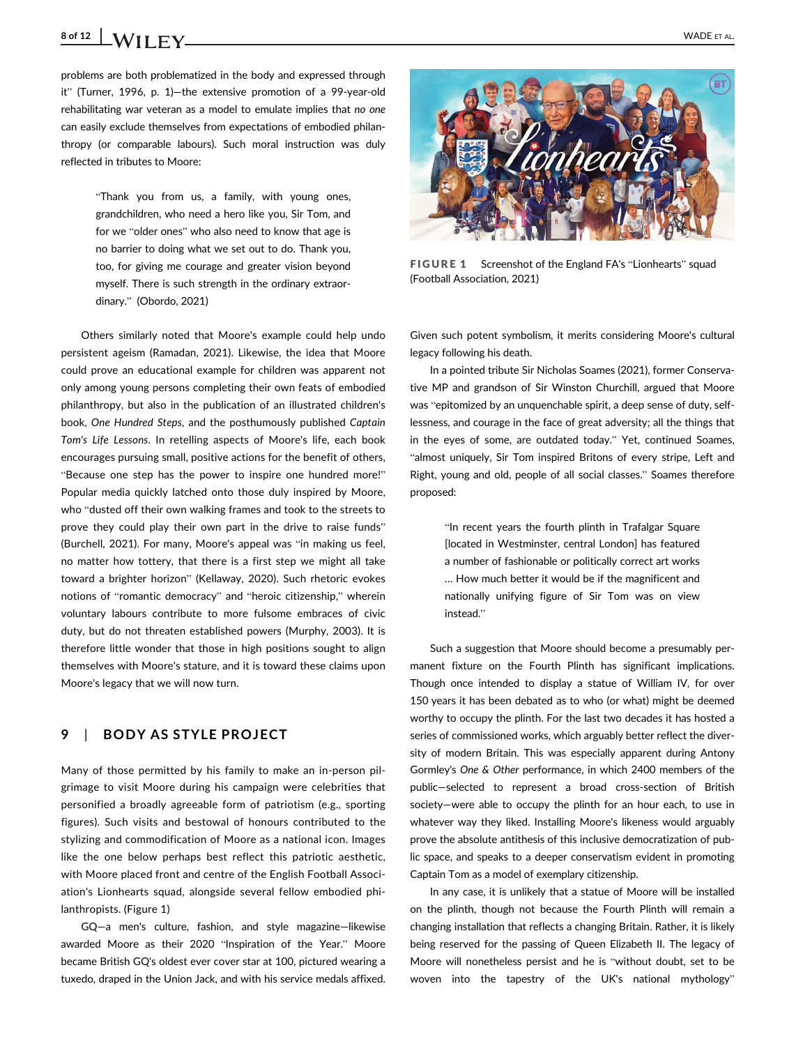# 8 of 12  $\big|$  **VADE** ET AL.

problems are both problematized in the body and expressed through it" (Turner, 1996, p. 1)—the extensive promotion of a 99-year-old rehabilitating war veteran as a model to emulate implies that no one can easily exclude themselves from expectations of embodied philanthropy (or comparable labours). Such moral instruction was duly reflected in tributes to Moore:

> "Thank you from us, a family, with young ones, grandchildren, who need a hero like you, Sir Tom, and for we "older ones" who also need to know that age is no barrier to doing what we set out to do. Thank you, too, for giving me courage and greater vision beyond myself. There is such strength in the ordinary extraordinary." (Obordo, 2021)

Others similarly noted that Moore's example could help undo persistent ageism (Ramadan, 2021). Likewise, the idea that Moore could prove an educational example for children was apparent not only among young persons completing their own feats of embodied philanthropy, but also in the publication of an illustrated children's book, One Hundred Steps, and the posthumously published Captain Tom's Life Lessons. In retelling aspects of Moore's life, each book encourages pursuing small, positive actions for the benefit of others, "Because one step has the power to inspire one hundred more!" Popular media quickly latched onto those duly inspired by Moore, who "dusted off their own walking frames and took to the streets to prove they could play their own part in the drive to raise funds" (Burchell, 2021). For many, Moore's appeal was "in making us feel, no matter how tottery, that there is a first step we might all take toward a brighter horizon" (Kellaway, 2020). Such rhetoric evokes notions of "romantic democracy" and "heroic citizenship," wherein voluntary labours contribute to more fulsome embraces of civic duty, but do not threaten established powers (Murphy, 2003). It is therefore little wonder that those in high positions sought to align themselves with Moore's stature, and it is toward these claims upon Moore's legacy that we will now turn.

### 9 | BODY AS STYLE PROJECT

Many of those permitted by his family to make an in-person pilgrimage to visit Moore during his campaign were celebrities that personified a broadly agreeable form of patriotism (e.g., sporting figures). Such visits and bestowal of honours contributed to the stylizing and commodification of Moore as a national icon. Images like the one below perhaps best reflect this patriotic aesthetic, with Moore placed front and centre of the English Football Association's Lionhearts squad, alongside several fellow embodied philanthropists. (Figure 1)

GQ—a men's culture, fashion, and style magazine—likewise awarded Moore as their 2020 "Inspiration of the Year." Moore became British GQ's oldest ever cover star at 100, pictured wearing a tuxedo, draped in the Union Jack, and with his service medals affixed.



FIGURE 1 Screenshot of the England FA's "Lionhearts" squad (Football Association, 2021)

Given such potent symbolism, it merits considering Moore's cultural legacy following his death.

In a pointed tribute Sir Nicholas Soames (2021), former Conservative MP and grandson of Sir Winston Churchill, argued that Moore was "epitomized by an unquenchable spirit, a deep sense of duty, selflessness, and courage in the face of great adversity; all the things that in the eyes of some, are outdated today." Yet, continued Soames, "almost uniquely, Sir Tom inspired Britons of every stripe, Left and Right, young and old, people of all social classes." Soames therefore proposed:

> "In recent years the fourth plinth in Trafalgar Square [located in Westminster, central London] has featured a number of fashionable or politically correct art works … How much better it would be if the magnificent and nationally unifying figure of Sir Tom was on view instead."

Such a suggestion that Moore should become a presumably permanent fixture on the Fourth Plinth has significant implications. Though once intended to display a statue of William IV, for over 150 years it has been debated as to who (or what) might be deemed worthy to occupy the plinth. For the last two decades it has hosted a series of commissioned works, which arguably better reflect the diversity of modern Britain. This was especially apparent during Antony Gormley's One & Other performance, in which 2400 members of the public—selected to represent a broad cross-section of British society—were able to occupy the plinth for an hour each, to use in whatever way they liked. Installing Moore's likeness would arguably prove the absolute antithesis of this inclusive democratization of public space, and speaks to a deeper conservatism evident in promoting Captain Tom as a model of exemplary citizenship.

In any case, it is unlikely that a statue of Moore will be installed on the plinth, though not because the Fourth Plinth will remain a changing installation that reflects a changing Britain. Rather, it is likely being reserved for the passing of Queen Elizabeth II. The legacy of Moore will nonetheless persist and he is "without doubt, set to be woven into the tapestry of the UK's national mythology"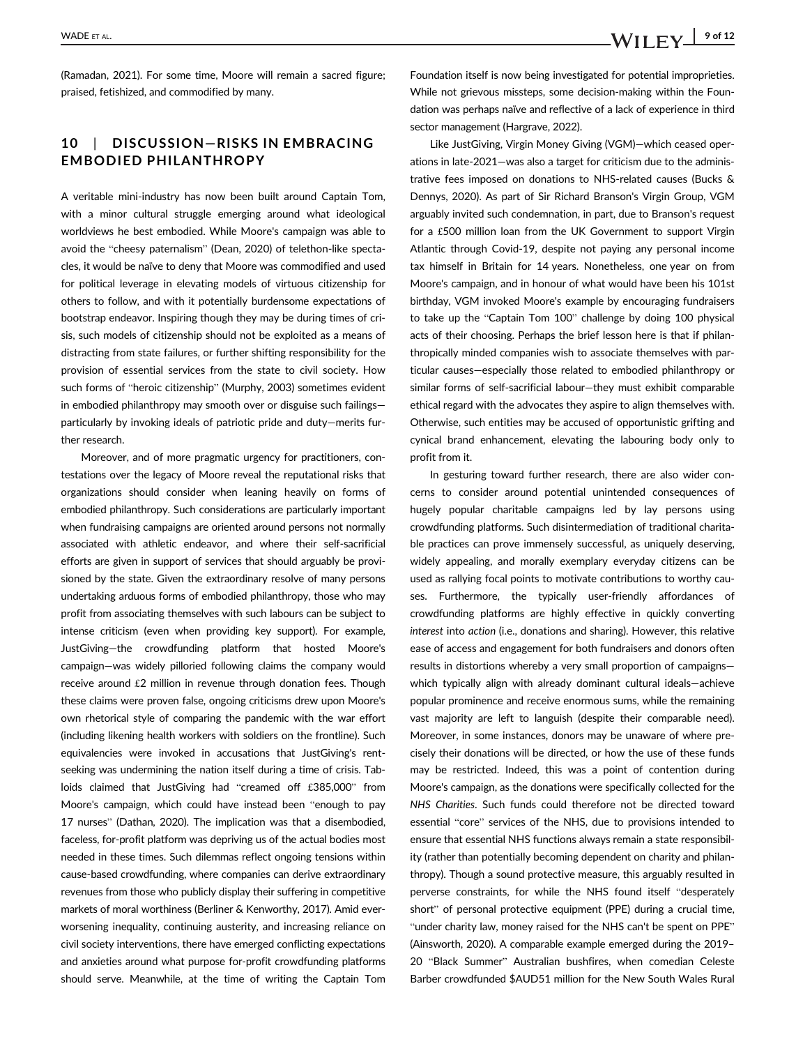(Ramadan, 2021). For some time, Moore will remain a sacred figure; praised, fetishized, and commodified by many.

### 10 | DISCUSSION-RISKS IN EMBRACING EMBODIED PHILANTHROPY

A veritable mini-industry has now been built around Captain Tom, with a minor cultural struggle emerging around what ideological worldviews he best embodied. While Moore's campaign was able to avoid the "cheesy paternalism" (Dean, 2020) of telethon-like spectacles, it would be naïve to deny that Moore was commodified and used for political leverage in elevating models of virtuous citizenship for others to follow, and with it potentially burdensome expectations of bootstrap endeavor. Inspiring though they may be during times of crisis, such models of citizenship should not be exploited as a means of distracting from state failures, or further shifting responsibility for the provision of essential services from the state to civil society. How such forms of "heroic citizenship" (Murphy, 2003) sometimes evident in embodied philanthropy may smooth over or disguise such failings particularly by invoking ideals of patriotic pride and duty—merits further research.

Moreover, and of more pragmatic urgency for practitioners, contestations over the legacy of Moore reveal the reputational risks that organizations should consider when leaning heavily on forms of embodied philanthropy. Such considerations are particularly important when fundraising campaigns are oriented around persons not normally associated with athletic endeavor, and where their self-sacrificial efforts are given in support of services that should arguably be provisioned by the state. Given the extraordinary resolve of many persons undertaking arduous forms of embodied philanthropy, those who may profit from associating themselves with such labours can be subject to intense criticism (even when providing key support). For example, JustGiving—the crowdfunding platform that hosted Moore's campaign—was widely pilloried following claims the company would receive around £2 million in revenue through donation fees. Though these claims were proven false, ongoing criticisms drew upon Moore's own rhetorical style of comparing the pandemic with the war effort (including likening health workers with soldiers on the frontline). Such equivalencies were invoked in accusations that JustGiving's rentseeking was undermining the nation itself during a time of crisis. Tabloids claimed that JustGiving had "creamed off £385,000" from Moore's campaign, which could have instead been "enough to pay 17 nurses" (Dathan, 2020). The implication was that a disembodied, faceless, for-profit platform was depriving us of the actual bodies most needed in these times. Such dilemmas reflect ongoing tensions within cause-based crowdfunding, where companies can derive extraordinary revenues from those who publicly display their suffering in competitive markets of moral worthiness (Berliner & Kenworthy, 2017). Amid everworsening inequality, continuing austerity, and increasing reliance on civil society interventions, there have emerged conflicting expectations and anxieties around what purpose for-profit crowdfunding platforms should serve. Meanwhile, at the time of writing the Captain Tom

Foundation itself is now being investigated for potential improprieties. While not grievous missteps, some decision-making within the Foundation was perhaps naïve and reflective of a lack of experience in third sector management (Hargrave, 2022).

Like JustGiving, Virgin Money Giving (VGM)—which ceased operations in late-2021—was also a target for criticism due to the administrative fees imposed on donations to NHS-related causes (Bucks & Dennys, 2020). As part of Sir Richard Branson's Virgin Group, VGM arguably invited such condemnation, in part, due to Branson's request for a £500 million loan from the UK Government to support Virgin Atlantic through Covid-19, despite not paying any personal income tax himself in Britain for 14 years. Nonetheless, one year on from Moore's campaign, and in honour of what would have been his 101st birthday, VGM invoked Moore's example by encouraging fundraisers to take up the "Captain Tom 100" challenge by doing 100 physical acts of their choosing. Perhaps the brief lesson here is that if philanthropically minded companies wish to associate themselves with particular causes—especially those related to embodied philanthropy or similar forms of self-sacrificial labour—they must exhibit comparable ethical regard with the advocates they aspire to align themselves with. Otherwise, such entities may be accused of opportunistic grifting and cynical brand enhancement, elevating the labouring body only to profit from it.

In gesturing toward further research, there are also wider concerns to consider around potential unintended consequences of hugely popular charitable campaigns led by lay persons using crowdfunding platforms. Such disintermediation of traditional charitable practices can prove immensely successful, as uniquely deserving, widely appealing, and morally exemplary everyday citizens can be used as rallying focal points to motivate contributions to worthy causes. Furthermore, the typically user-friendly affordances of crowdfunding platforms are highly effective in quickly converting interest into action (i.e., donations and sharing). However, this relative ease of access and engagement for both fundraisers and donors often results in distortions whereby a very small proportion of campaigns which typically align with already dominant cultural ideals—achieve popular prominence and receive enormous sums, while the remaining vast majority are left to languish (despite their comparable need). Moreover, in some instances, donors may be unaware of where precisely their donations will be directed, or how the use of these funds may be restricted. Indeed, this was a point of contention during Moore's campaign, as the donations were specifically collected for the NHS Charities. Such funds could therefore not be directed toward essential "core" services of the NHS, due to provisions intended to ensure that essential NHS functions always remain a state responsibility (rather than potentially becoming dependent on charity and philanthropy). Though a sound protective measure, this arguably resulted in perverse constraints, for while the NHS found itself "desperately short" of personal protective equipment (PPE) during a crucial time, "under charity law, money raised for the NHS can't be spent on PPE" (Ainsworth, 2020). A comparable example emerged during the 2019– 20 "Black Summer" Australian bushfires, when comedian Celeste Barber crowdfunded \$AUD51 million for the New South Wales Rural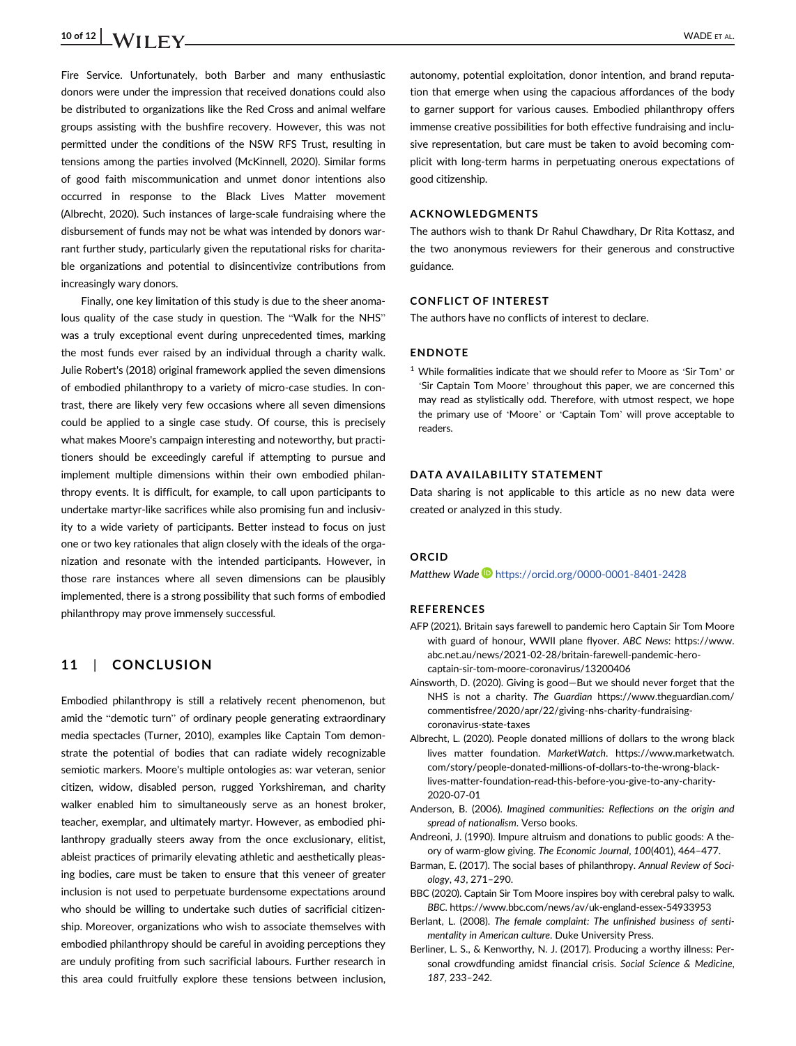# 10 of 12  $\blacksquare$  WADE ET AL.

Fire Service. Unfortunately, both Barber and many enthusiastic donors were under the impression that received donations could also be distributed to organizations like the Red Cross and animal welfare groups assisting with the bushfire recovery. However, this was not permitted under the conditions of the NSW RFS Trust, resulting in tensions among the parties involved (McKinnell, 2020). Similar forms of good faith miscommunication and unmet donor intentions also occurred in response to the Black Lives Matter movement (Albrecht, 2020). Such instances of large-scale fundraising where the disbursement of funds may not be what was intended by donors warrant further study, particularly given the reputational risks for charitable organizations and potential to disincentivize contributions from increasingly wary donors.

Finally, one key limitation of this study is due to the sheer anomalous quality of the case study in question. The "Walk for the NHS" was a truly exceptional event during unprecedented times, marking the most funds ever raised by an individual through a charity walk. Julie Robert's (2018) original framework applied the seven dimensions of embodied philanthropy to a variety of micro-case studies. In contrast, there are likely very few occasions where all seven dimensions could be applied to a single case study. Of course, this is precisely what makes Moore's campaign interesting and noteworthy, but practitioners should be exceedingly careful if attempting to pursue and implement multiple dimensions within their own embodied philanthropy events. It is difficult, for example, to call upon participants to undertake martyr-like sacrifices while also promising fun and inclusivity to a wide variety of participants. Better instead to focus on just one or two key rationales that align closely with the ideals of the organization and resonate with the intended participants. However, in those rare instances where all seven dimensions can be plausibly implemented, there is a strong possibility that such forms of embodied philanthropy may prove immensely successful.

### 11 | CONCLUSION

Embodied philanthropy is still a relatively recent phenomenon, but amid the "demotic turn" of ordinary people generating extraordinary media spectacles (Turner, 2010), examples like Captain Tom demonstrate the potential of bodies that can radiate widely recognizable semiotic markers. Moore's multiple ontologies as: war veteran, senior citizen, widow, disabled person, rugged Yorkshireman, and charity walker enabled him to simultaneously serve as an honest broker, teacher, exemplar, and ultimately martyr. However, as embodied philanthropy gradually steers away from the once exclusionary, elitist, ableist practices of primarily elevating athletic and aesthetically pleasing bodies, care must be taken to ensure that this veneer of greater inclusion is not used to perpetuate burdensome expectations around who should be willing to undertake such duties of sacrificial citizenship. Moreover, organizations who wish to associate themselves with embodied philanthropy should be careful in avoiding perceptions they are unduly profiting from such sacrificial labours. Further research in this area could fruitfully explore these tensions between inclusion,

autonomy, potential exploitation, donor intention, and brand reputation that emerge when using the capacious affordances of the body to garner support for various causes. Embodied philanthropy offers immense creative possibilities for both effective fundraising and inclusive representation, but care must be taken to avoid becoming complicit with long-term harms in perpetuating onerous expectations of good citizenship.

#### ACKNOWLEDGMENTS

The authors wish to thank Dr Rahul Chawdhary, Dr Rita Kottasz, and the two anonymous reviewers for their generous and constructive guidance.

#### CONFLICT OF INTEREST

The authors have no conflicts of interest to declare.

#### ENDNOTE

<sup>1</sup> While formalities indicate that we should refer to Moore as 'Sir Tom' or 'Sir Captain Tom Moore' throughout this paper, we are concerned this may read as stylistically odd. Therefore, with utmost respect, we hope the primary use of 'Moore' or 'Captain Tom' will prove acceptable to readers.

#### DATA AVAILABILITY STATEMENT

Data sharing is not applicable to this article as no new data were created or analyzed in this study.

#### ORCID

Matthew Wade <https://orcid.org/0000-0001-8401-2428>

#### REFERENCES

- AFP (2021). Britain says farewell to pandemic hero Captain Sir Tom Moore with guard of honour, WWII plane flyover. ABC News: [https://www.](https://www.abc.net.au/news/2021-02-28/britain-farewell-pandemic-hero-captain-sir-tom-moore-coronavirus/13200406) [abc.net.au/news/2021-02-28/britain-farewell-pandemic-hero](https://www.abc.net.au/news/2021-02-28/britain-farewell-pandemic-hero-captain-sir-tom-moore-coronavirus/13200406)[captain-sir-tom-moore-coronavirus/13200406](https://www.abc.net.au/news/2021-02-28/britain-farewell-pandemic-hero-captain-sir-tom-moore-coronavirus/13200406)
- Ainsworth, D. (2020). Giving is good—But we should never forget that the NHS is not a charity. The Guardian [https://www.theguardian.com/](https://www.theguardian.com/commentisfree/2020/apr/22/giving-nhs-charity-fundraising-coronavirus-state-taxes) [commentisfree/2020/apr/22/giving-nhs-charity-fundraising](https://www.theguardian.com/commentisfree/2020/apr/22/giving-nhs-charity-fundraising-coronavirus-state-taxes)[coronavirus-state-taxes](https://www.theguardian.com/commentisfree/2020/apr/22/giving-nhs-charity-fundraising-coronavirus-state-taxes)
- Albrecht, L. (2020). People donated millions of dollars to the wrong black lives matter foundation. MarketWatch. [https://www.marketwatch.](https://www.marketwatch.com/story/people-donated-millions-of-dollars-to-the-wrong-black-lives-matter-foundation-read-this-before-you-give-to-any-charity-2020-07-01) [com/story/people-donated-millions-of-dollars-to-the-wrong-black](https://www.marketwatch.com/story/people-donated-millions-of-dollars-to-the-wrong-black-lives-matter-foundation-read-this-before-you-give-to-any-charity-2020-07-01)[lives-matter-foundation-read-this-before-you-give-to-any-charity-](https://www.marketwatch.com/story/people-donated-millions-of-dollars-to-the-wrong-black-lives-matter-foundation-read-this-before-you-give-to-any-charity-2020-07-01)[2020-07-01](https://www.marketwatch.com/story/people-donated-millions-of-dollars-to-the-wrong-black-lives-matter-foundation-read-this-before-you-give-to-any-charity-2020-07-01)
- Anderson, B. (2006). Imagined communities: Reflections on the origin and spread of nationalism. Verso books.
- Andreoni, J. (1990). Impure altruism and donations to public goods: A theory of warm-glow giving. The Economic Journal, 100(401), 464–477.
- Barman, E. (2017). The social bases of philanthropy. Annual Review of Sociology, 43, 271–290.
- BBC (2020). Captain Sir Tom Moore inspires boy with cerebral palsy to walk. BBC.<https://www.bbc.com/news/av/uk-england-essex-54933953>
- Berlant, L. (2008). The female complaint: The unfinished business of sentimentality in American culture. Duke University Press.
- Berliner, L. S., & Kenworthy, N. J. (2017). Producing a worthy illness: Personal crowdfunding amidst financial crisis. Social Science & Medicine, 187, 233–242.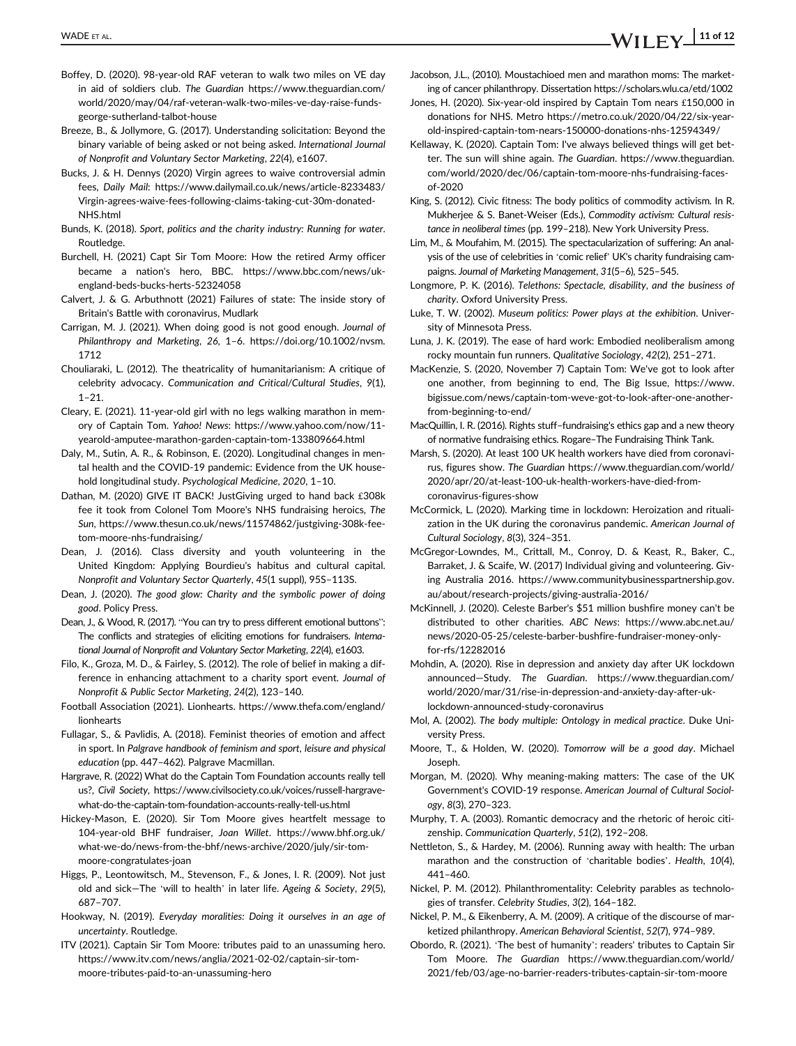- Boffey, D. (2020). 98-year-old RAF veteran to walk two miles on VE day in aid of soldiers club. The Guardian [https://www.theguardian.com/](https://www.theguardian.com/world/2020/may/04/raf-veteran-walk-two-miles-ve-day-raise-funds-george-sutherland-talbot-house) [world/2020/may/04/raf-veteran-walk-two-miles-ve-day-raise-funds](https://www.theguardian.com/world/2020/may/04/raf-veteran-walk-two-miles-ve-day-raise-funds-george-sutherland-talbot-house)[george-sutherland-talbot-house](https://www.theguardian.com/world/2020/may/04/raf-veteran-walk-two-miles-ve-day-raise-funds-george-sutherland-talbot-house)
- Breeze, B., & Jollymore, G. (2017). Understanding solicitation: Beyond the binary variable of being asked or not being asked. International Journal of Nonprofit and Voluntary Sector Marketing, 22(4), e1607.
- Bucks, J. & H. Dennys (2020) Virgin agrees to waive controversial admin fees, Daily Mail: [https://www.dailymail.co.uk/news/article-8233483/](https://www.dailymail.co.uk/news/article-8233483/Virgin-agrees-waive-fees-following-claims-taking-cut-30m-donated-NHS.html) [Virgin-agrees-waive-fees-following-claims-taking-cut-30m-donated-](https://www.dailymail.co.uk/news/article-8233483/Virgin-agrees-waive-fees-following-claims-taking-cut-30m-donated-NHS.html)[NHS.html](https://www.dailymail.co.uk/news/article-8233483/Virgin-agrees-waive-fees-following-claims-taking-cut-30m-donated-NHS.html)
- Bunds, K. (2018). Sport, politics and the charity industry: Running for water. Routledge.
- Burchell, H. (2021) Capt Sir Tom Moore: How the retired Army officer became a nation's hero, BBC. [https://www.bbc.com/news/uk](https://www.bbc.com/news/uk-england-beds-bucks-herts-52324058)[england-beds-bucks-herts-52324058](https://www.bbc.com/news/uk-england-beds-bucks-herts-52324058)
- Calvert, J. & G. Arbuthnott (2021) Failures of state: The inside story of Britain's Battle with coronavirus, Mudlark
- Carrigan, M. J. (2021). When doing good is not good enough. Journal of Philanthropy and Marketing, 26, 1–6. [https://doi.org/10.1002/nvsm.](https://doi.org/10.1002/nvsm.1712) [1712](https://doi.org/10.1002/nvsm.1712)
- Chouliaraki, L. (2012). The theatricality of humanitarianism: A critique of celebrity advocacy. Communication and Critical/Cultural Studies, 9(1), 1–21.
- Cleary, E. (2021). 11-year-old girl with no legs walking marathon in memory of Captain Tom. Yahoo! News: [https://www.yahoo.com/now/11](https://www.yahoo.com/now/11-yearold-amputee-marathon-garden-captain-tom-133809664.html) [yearold-amputee-marathon-garden-captain-tom-133809664.html](https://www.yahoo.com/now/11-yearold-amputee-marathon-garden-captain-tom-133809664.html)
- Daly, M., Sutin, A. R., & Robinson, E. (2020). Longitudinal changes in mental health and the COVID-19 pandemic: Evidence from the UK household longitudinal study. Psychological Medicine, 2020, 1-10.
- Dathan, M. (2020) GIVE IT BACK! JustGiving urged to hand back £308k fee it took from Colonel Tom Moore's NHS fundraising heroics, The Sun, [https://www.thesun.co.uk/news/11574862/justgiving-308k-fee](https://www.thesun.co.uk/news/11574862/justgiving-308k-fee-tom-moore-nhs-fundraising/)[tom-moore-nhs-fundraising/](https://www.thesun.co.uk/news/11574862/justgiving-308k-fee-tom-moore-nhs-fundraising/)
- Dean, J. (2016). Class diversity and youth volunteering in the United Kingdom: Applying Bourdieu's habitus and cultural capital. Nonprofit and Voluntary Sector Quarterly, 45(1 suppl), 95S–113S.
- Dean, J. (2020). The good glow: Charity and the symbolic power of doing good. Policy Press.
- Dean, J., & Wood, R. (2017). "You can try to press different emotional buttons": The conflicts and strategies of eliciting emotions for fundraisers. International Journal of Nonprofit and Voluntary Sector Marketing, 22(4), e1603.
- Filo, K., Groza, M. D., & Fairley, S. (2012). The role of belief in making a difference in enhancing attachment to a charity sport event. Journal of Nonprofit & Public Sector Marketing, 24(2), 123–140.
- Football Association (2021). Lionhearts. [https://www.thefa.com/england/](https://www.thefa.com/england/lionhearts) [lionhearts](https://www.thefa.com/england/lionhearts)
- Fullagar, S., & Pavlidis, A. (2018). Feminist theories of emotion and affect in sport. In Palgrave handbook of feminism and sport, leisure and physical education (pp. 447–462). Palgrave Macmillan.
- Hargrave, R. (2022) What do the Captain Tom Foundation accounts really tell us?, Civil Society, [https://www.civilsociety.co.uk/voices/russell-hargrave](https://www.civilsociety.co.uk/voices/russell-hargrave-what-do-the-captain-tom-foundation-accounts-really-tell-us.html)[what-do-the-captain-tom-foundation-accounts-really-tell-us.html](https://www.civilsociety.co.uk/voices/russell-hargrave-what-do-the-captain-tom-foundation-accounts-really-tell-us.html)
- Hickey-Mason, E. (2020). Sir Tom Moore gives heartfelt message to 104-year-old BHF fundraiser, Joan Willet. [https://www.bhf.org.uk/](https://www.bhf.org.uk/what-we-do/news-from-the-bhf/news-archive/2020/july/sir-tom-moore-congratulates-joan) [what-we-do/news-from-the-bhf/news-archive/2020/july/sir-tom](https://www.bhf.org.uk/what-we-do/news-from-the-bhf/news-archive/2020/july/sir-tom-moore-congratulates-joan)[moore-congratulates-joan](https://www.bhf.org.uk/what-we-do/news-from-the-bhf/news-archive/2020/july/sir-tom-moore-congratulates-joan)
- Higgs, P., Leontowitsch, M., Stevenson, F., & Jones, I. R. (2009). Not just old and sick—The 'will to health' in later life. Ageing & Society, 29(5), 687–707.
- Hookway, N. (2019). Everyday moralities: Doing it ourselves in an age of uncertainty. Routledge.
- ITV (2021). Captain Sir Tom Moore: tributes paid to an unassuming hero. [https://www.itv.com/news/anglia/2021-02-02/captain-sir-tom](https://www.itv.com/news/anglia/2021-02-02/captain-sir-tom-moore-tributes-paid-to-an-unassuming-hero)[moore-tributes-paid-to-an-unassuming-hero](https://www.itv.com/news/anglia/2021-02-02/captain-sir-tom-moore-tributes-paid-to-an-unassuming-hero)
- Jacobson, J.L., (2010). Moustachioed men and marathon moms: The marketing of cancer philanthropy. Dissertation<https://scholars.wlu.ca/etd/1002>
- Jones, H. (2020). Six-year-old inspired by Captain Tom nears £150,000 in donations for NHS. Metro [https://metro.co.uk/2020/04/22/six-year](https://metro.co.uk/2020/04/22/six-year-old-inspired-captain-tom-nears-150000-donations-nhs-12594349/)[old-inspired-captain-tom-nears-150000-donations-nhs-12594349/](https://metro.co.uk/2020/04/22/six-year-old-inspired-captain-tom-nears-150000-donations-nhs-12594349/)
- Kellaway, K. (2020). Captain Tom: I've always believed things will get better. The sun will shine again. The Guardian. [https://www.theguardian.](https://www.theguardian.com/world/2020/dec/06/captain-tom-moore-nhs-fundraising-faces-of-2020) [com/world/2020/dec/06/captain-tom-moore-nhs-fundraising-faces](https://www.theguardian.com/world/2020/dec/06/captain-tom-moore-nhs-fundraising-faces-of-2020)[of-2020](https://www.theguardian.com/world/2020/dec/06/captain-tom-moore-nhs-fundraising-faces-of-2020)
- King, S. (2012). Civic fitness: The body politics of commodity activism. In R. Mukherjee & S. Banet-Weiser (Eds.), Commodity activism: Cultural resistance in neoliberal times (pp. 199–218). New York University Press.
- Lim, M., & Moufahim, M. (2015). The spectacularization of suffering: An analysis of the use of celebrities in 'comic relief' UK's charity fundraising campaigns. Journal of Marketing Management, 31(5–6), 525–545.
- Longmore, P. K. (2016). Telethons: Spectacle, disability, and the business of charity. Oxford University Press.
- Luke, T. W. (2002). Museum politics: Power plays at the exhibition. University of Minnesota Press.
- Luna, J. K. (2019). The ease of hard work: Embodied neoliberalism among rocky mountain fun runners. Qualitative Sociology, 42(2), 251–271.
- MacKenzie, S. (2020, November 7) Captain Tom: We've got to look after one another, from beginning to end, The Big Issue, [https://www.](https://www.bigissue.com/news/captain-tom-weve-got-to-look-after-one-another-from-beginning-to-end/) [bigissue.com/news/captain-tom-weve-got-to-look-after-one-another](https://www.bigissue.com/news/captain-tom-weve-got-to-look-after-one-another-from-beginning-to-end/)[from-beginning-to-end/](https://www.bigissue.com/news/captain-tom-weve-got-to-look-after-one-another-from-beginning-to-end/)
- MacQuillin, I. R. (2016). Rights stuff–fundraising's ethics gap and a new theory of normative fundraising ethics. Rogare–The Fundraising Think Tank.
- Marsh, S. (2020). At least 100 UK health workers have died from coronavirus, figures show. The Guardian [https://www.theguardian.com/world/](https://www.theguardian.com/world/2020/apr/20/at-least-100-uk-health-workers-have-died-from-coronavirus-figures-show) [2020/apr/20/at-least-100-uk-health-workers-have-died-from](https://www.theguardian.com/world/2020/apr/20/at-least-100-uk-health-workers-have-died-from-coronavirus-figures-show)[coronavirus-figures-show](https://www.theguardian.com/world/2020/apr/20/at-least-100-uk-health-workers-have-died-from-coronavirus-figures-show)
- McCormick, L. (2020). Marking time in lockdown: Heroization and ritualization in the UK during the coronavirus pandemic. American Journal of Cultural Sociology, 8(3), 324–351.
- McGregor-Lowndes, M., Crittall, M., Conroy, D. & Keast, R., Baker, C., Barraket, J. & Scaife, W. (2017) Individual giving and volunteering. Giving Australia 2016. [https://www.communitybusinesspartnership.gov.](https://www.communitybusinesspartnership.gov.au/about/research-projects/giving-australia-2016/) [au/about/research-projects/giving-australia-2016/](https://www.communitybusinesspartnership.gov.au/about/research-projects/giving-australia-2016/)
- McKinnell, J. (2020). Celeste Barber's \$51 million bushfire money can't be distributed to other charities. ABC News: [https://www.abc.net.au/](https://www.abc.net.au/news/2020-05-25/celeste-barber-bushfire-fundraiser-money-only-for-rfs/12282016) [news/2020-05-25/celeste-barber-bushfire-fundraiser-money-only](https://www.abc.net.au/news/2020-05-25/celeste-barber-bushfire-fundraiser-money-only-for-rfs/12282016)[for-rfs/12282016](https://www.abc.net.au/news/2020-05-25/celeste-barber-bushfire-fundraiser-money-only-for-rfs/12282016)
- Mohdin, A. (2020). Rise in depression and anxiety day after UK lockdown announced—Study. The Guardian. [https://www.theguardian.com/](https://www.theguardian.com/world/2020/mar/31/rise-in-depression-and-anxiety-day-after-uk-lockdown-announced-study-coronavirus) [world/2020/mar/31/rise-in-depression-and-anxiety-day-after-uk](https://www.theguardian.com/world/2020/mar/31/rise-in-depression-and-anxiety-day-after-uk-lockdown-announced-study-coronavirus)[lockdown-announced-study-coronavirus](https://www.theguardian.com/world/2020/mar/31/rise-in-depression-and-anxiety-day-after-uk-lockdown-announced-study-coronavirus)
- Mol, A. (2002). The body multiple: Ontology in medical practice. Duke University Press.
- Moore, T., & Holden, W. (2020). Tomorrow will be a good day. Michael Joseph.
- Morgan, M. (2020). Why meaning-making matters: The case of the UK Government's COVID-19 response. American Journal of Cultural Sociology, 8(3), 270–323.
- Murphy, T. A. (2003). Romantic democracy and the rhetoric of heroic citizenship. Communication Quarterly, 51(2), 192–208.
- Nettleton, S., & Hardey, M. (2006). Running away with health: The urban marathon and the construction of 'charitable bodies'. Health, 10(4), 441–460.
- Nickel, P. M. (2012). Philanthromentality: Celebrity parables as technologies of transfer. Celebrity Studies, 3(2), 164–182.
- Nickel, P. M., & Eikenberry, A. M. (2009). A critique of the discourse of marketized philanthropy. American Behavioral Scientist, 52(7), 974–989.
- Obordo, R. (2021). 'The best of humanity': readers' tributes to Captain Sir Tom Moore. The Guardian [https://www.theguardian.com/world/](https://www.theguardian.com/world/2021/feb/03/age-no-barrier-readers-tributes-captain-sir-tom-moore) [2021/feb/03/age-no-barrier-readers-tributes-captain-sir-tom-moore](https://www.theguardian.com/world/2021/feb/03/age-no-barrier-readers-tributes-captain-sir-tom-moore)